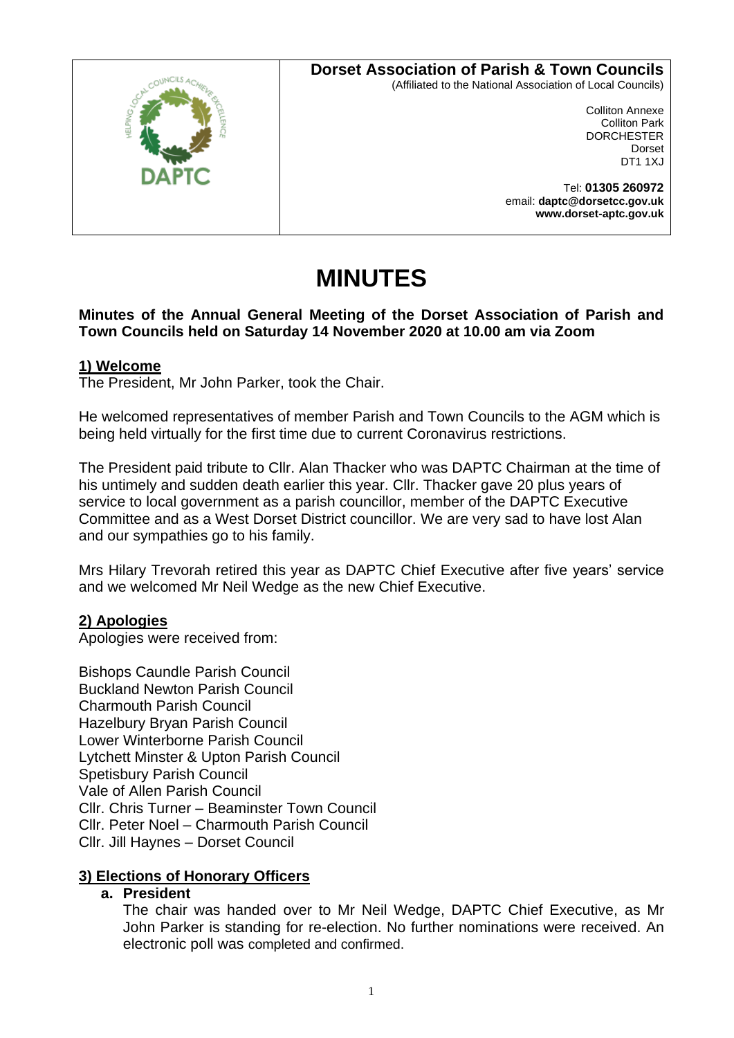## **Dorset Association of Parish & Town Councils**



(Affiliated to the National Association of Local Councils)

Colliton Annexe Colliton Park **DORCHESTER** Dorset DT1 1XJ

Tel: **01305 260972** email: **daptc@dorsetcc.gov.uk www.dorset-aptc.gov.uk**

# **MINUTES**

## **Minutes of the Annual General Meeting of the Dorset Association of Parish and Town Councils held on Saturday 14 November 2020 at 10.00 am via Zoom**

### **1) Welcome**

The President, Mr John Parker, took the Chair.

He welcomed representatives of member Parish and Town Councils to the AGM which is being held virtually for the first time due to current Coronavirus restrictions.

The President paid tribute to Cllr. Alan Thacker who was DAPTC Chairman at the time of his untimely and sudden death earlier this year. Cllr. Thacker gave 20 plus years of service to local government as a parish councillor, member of the DAPTC Executive Committee and as a West Dorset District councillor. We are very sad to have lost Alan and our sympathies go to his family.

Mrs Hilary Trevorah retired this year as DAPTC Chief Executive after five years' service and we welcomed Mr Neil Wedge as the new Chief Executive.

## **2) Apologies**

Apologies were received from:

Bishops Caundle Parish Council Buckland Newton Parish Council Charmouth Parish Council Hazelbury Bryan Parish Council Lower Winterborne Parish Council Lytchett Minster & Upton Parish Council Spetisbury Parish Council Vale of Allen Parish Council Cllr. Chris Turner – Beaminster Town Council Cllr. Peter Noel – Charmouth Parish Council Cllr. Jill Haynes – Dorset Council

## **3) Elections of Honorary Officers**

#### **a. President**

The chair was handed over to Mr Neil Wedge, DAPTC Chief Executive, as Mr John Parker is standing for re-election. No further nominations were received. An electronic poll was completed and confirmed.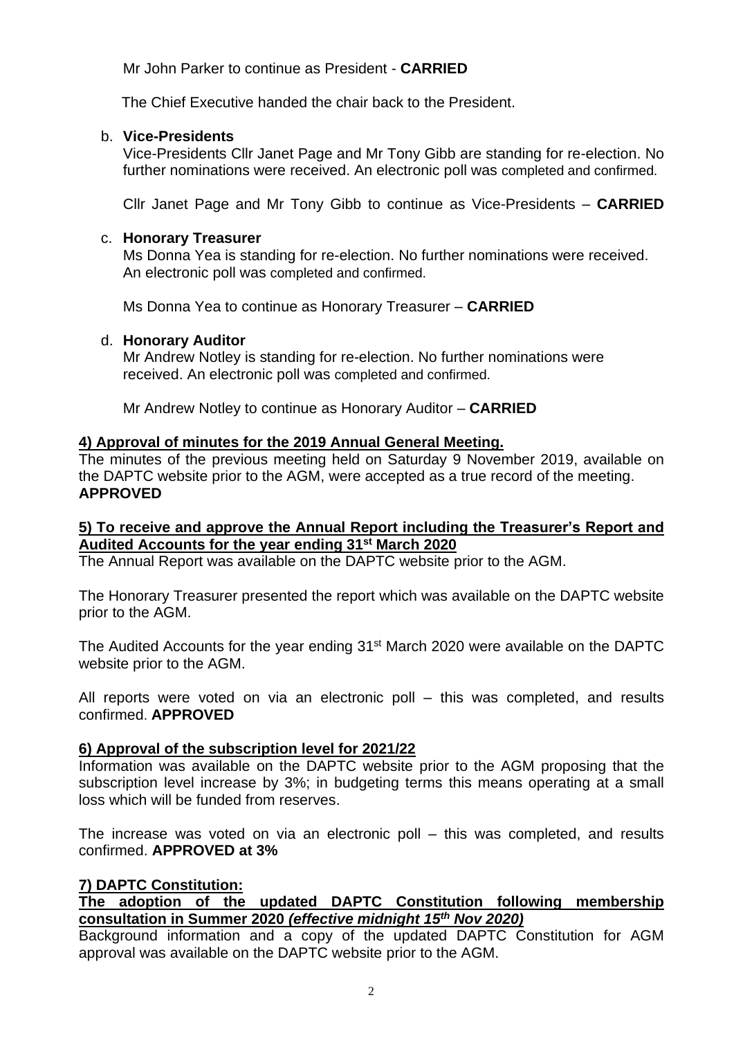Mr John Parker to continue as President - **CARRIED**

The Chief Executive handed the chair back to the President.

### b. **Vice-Presidents**

Vice-Presidents Cllr Janet Page and Mr Tony Gibb are standing for re-election. No further nominations were received. An electronic poll was completed and confirmed.

Cllr Janet Page and Mr Tony Gibb to continue as Vice-Presidents – **CARRIED**

### c. **Honorary Treasurer**

Ms Donna Yea is standing for re-election. No further nominations were received. An electronic poll was completed and confirmed.

Ms Donna Yea to continue as Honorary Treasurer – **CARRIED**

### d. **Honorary Auditor**

Mr Andrew Notley is standing for re-election. No further nominations were received. An electronic poll was completed and confirmed.

Mr Andrew Notley to continue as Honorary Auditor – **CARRIED**

## **4) Approval of minutes for the 2019 Annual General Meeting.**

The minutes of the previous meeting held on Saturday 9 November 2019, available on the DAPTC website prior to the AGM, were accepted as a true record of the meeting. **APPROVED**

### **5) To receive and approve the Annual Report including the Treasurer's Report and Audited Accounts for the year ending 31st March 2020**

The Annual Report was available on the DAPTC website prior to the AGM.

The Honorary Treasurer presented the report which was available on the DAPTC website prior to the AGM.

The Audited Accounts for the year ending 31<sup>st</sup> March 2020 were available on the DAPTC website prior to the AGM.

All reports were voted on via an electronic poll – this was completed, and results confirmed. **APPROVED**

## **6) Approval of the subscription level for 2021/22**

Information was available on the DAPTC website prior to the AGM proposing that the subscription level increase by 3%; in budgeting terms this means operating at a small loss which will be funded from reserves.

The increase was voted on via an electronic poll – this was completed, and results confirmed. **APPROVED at 3%**

## **7) DAPTC Constitution:**

## **The adoption of the updated DAPTC Constitution following membership consultation in Summer 2020** *(effective midnight 15 th Nov 2020)*

Background information and a copy of the updated DAPTC Constitution for AGM approval was available on the DAPTC website prior to the AGM.